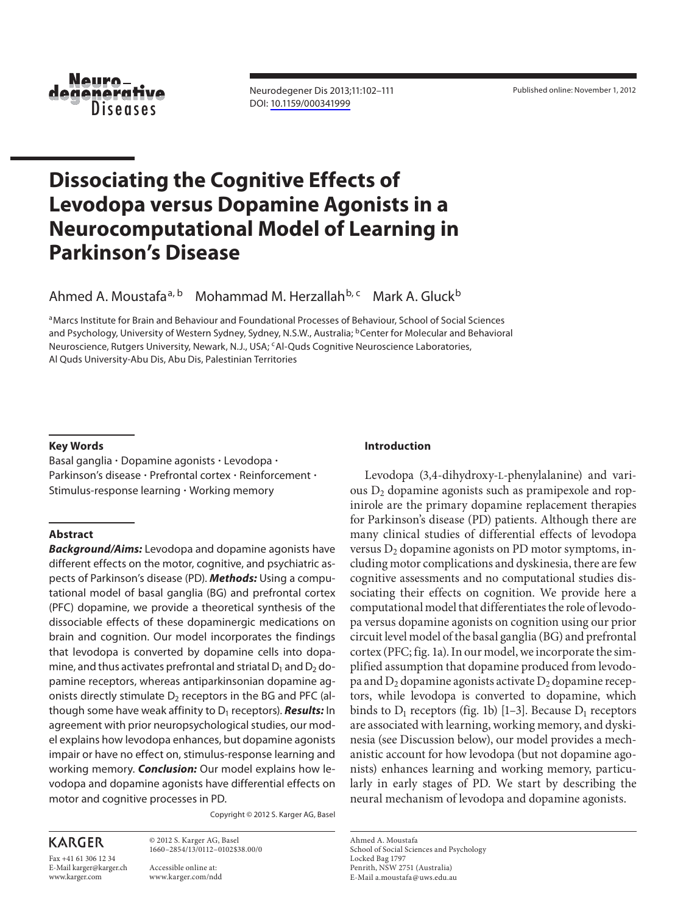

 Neurodegener Dis 2013;11:102–111 DOI: [10.1159/000341999](http://dx.doi.org/10.1159%2F000341999)

### **Dissociating the Cognitive Effects of Levodopa versus Dopamine Agonists in a Neurocomputational Model of Learning in Parkinson's Disease**  *Copy – for personal use only* armiy m

Ahmed A. Moustafa<sup>a, b</sup> Mohammad M. Herzallah<sup>b, c</sup> Mark A. Gluck<sup>b</sup> *ute in the State* 

<sup>a</sup> Marcs Institute for Brain and Behaviour and Foundational Processes of Behaviour, School of Social Sciences and Psychology, University of Western Sydney, Sydney, N.S.W., Australia; <sup>b</sup>Center for Molecular and Behavioral neuroscience, Rutgers University, Newark, N.J., USA; <sup>c</sup> Al-Quds Cognitive Neuroscience Laboratories, Al Quds University-Abu Dis, Abu Dis, Palestinian Territories



**ANY DISTRIBUTION OF THIS ARTICLE WITHOUT WRITTEN CONSENT FROM S. KARGER AG. BASEL IS A VIOLATION** OF THE COPYRIGHT.

Written permission to distribute the PDF will be granted against payment of a permission fee, which is based on the number of accesses required. Please contact permission@karger.ch

#### **Key Words**

 Basal ganglia - Dopamine agonists - Levodopa - Parkinson's disease · Prefrontal cortex · Reinforcement · Stimulus-response learning - Working memory

#### **Abstract**

*Background/Aims:* Levodopa and dopamine agonists have different effects on the motor, cognitive, and psychiatric aspects of Parkinson's disease (PD). *Methods:* Using a computational model of basal ganglia (BG) and prefrontal cortex (PFC) dopamine, we provide a theoretical synthesis of the dissociable effects of these dopaminergic medications on brain and cognition. Our model incorporates the findings that levodopa is converted by dopamine cells into dopamine, and thus activates prefrontal and striatal  $D_1$  and  $D_2$  dopamine receptors, whereas antiparkinsonian dopamine agonists directly stimulate  $D_2$  receptors in the BG and PFC (although some have weak affinity to D<sub>1</sub> receptors). **Results:** In agreement with prior neuropsychological studies, our model explains how levodopa enhances, but dopamine agonists impair or have no effect on, stimulus-response learning and working memory. *Conclusion:* Our model explains how levodopa and dopamine agonists have differential effects on motor and cognitive processes in PD.

Copyright © 2012 S. Karger AG, Basel

**KARGER** 

Fax +41 61 306 12 34 E-Mail karger@karger.ch www.karger.com

 Accessible online at: www.karger.com/ndd

 © 2012 S. Karger AG, Basel 1660–2854/13/0112–0102\$38.00/0

### **Introduction**

Levodopa (3,4-dihydroxy-L-phenylalanine) and various  $D_2$  dopamine agonists such as pramipexole and ropinirole are the primary dopamine replacement therapies for Parkinson's disease (PD) patients. Although there are many clinical studies of differential effects of levodopa versus  $D_2$  dopamine agonists on PD motor symptoms, including motor complications and dyskinesia, there are few cognitive assessments and no computational studies dissociating their effects on cognition. We provide here a computational model that differentiates the role of levodopa versus dopamine agonists on cognition using our prior circuit level model of the basal ganglia (BG) and prefrontal cortex (PFC; fig. 1a). In our model, we incorporate the simplified assumption that dopamine produced from levodopa and  $D_2$  dopamine agonists activate  $D_2$  dopamine receptors, while levodopa is converted to dopamine, which binds to  $D_1$  receptors (fig. 1b) [1–3]. Because  $D_1$  receptors are associated with learning, working memory, and dyskinesia (see Discussion below), our model provides a mechanistic account for how levodopa (but not dopamine agonists) enhances learning and working memory, particularly in early stages of PD. We start by describing the neural mechanism of levodopa and dopamine agonists.

 Ahmed A. Moustafa School of Social Sciences and Psychology Locked Bag 1797 Penrith, NSW 2751 (Australia) E-Mail a.moustafa @ uws.edu.au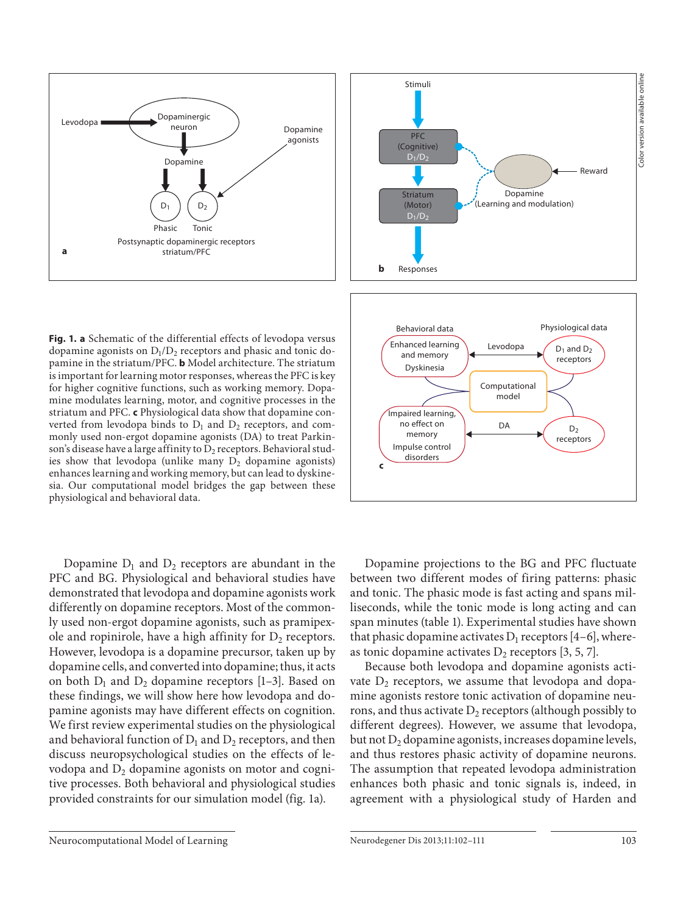

**Fig. 1. a** Schematic of the differential effects of levodopa versus dopamine agonists on  $D_1/D_2$  receptors and phasic and tonic dopamine in the striatum/PFC. **b** Model architecture. The striatum is important for learning motor responses, whereas the PFC is key for higher cognitive functions, such as working memory. Dopamine modulates learning, motor, and cognitive processes in the striatum and PFC. **c** Physiological data show that dopamine converted from levodopa binds to  $D_1$  and  $D_2$  receptors, and commonly used non-ergot dopamine agonists (DA) to treat Parkinson's disease have a large affinity to  $D_2$  receptors. Behavioral studies show that levodopa (unlike many  $D_2$  dopamine agonists) enhances learning and working memory, but can lead to dyskinesia. Our computational model bridges the gap between these physiological and behavioral data.

Dopamine  $D_1$  and  $D_2$  receptors are abundant in the PFC and BG. Physiological and behavioral studies have demonstrated that levodopa and dopamine agonists work differently on dopamine receptors. Most of the commonly used non-ergot dopamine agonists, such as pramipexole and ropinirole, have a high affinity for  $D_2$  receptors. However, levodopa is a dopamine precursor, taken up by dopamine cells, and converted into dopamine; thus, it acts on both  $D_1$  and  $D_2$  dopamine receptors [1-3]. Based on these findings, we will show here how levodopa and dopamine agonists may have different effects on cognition. We first review experimental studies on the physiological and behavioral function of  $D_1$  and  $D_2$  receptors, and then discuss neuropsychological studies on the effects of levodopa and  $D_2$  dopamine agonists on motor and cognitive processes. Both behavioral and physiological studies provided constraints for our simulation model (fig. 1a).



 Dopamine projections to the BG and PFC fluctuate between two different modes of firing patterns: phasic and tonic. The phasic mode is fast acting and spans milliseconds, while the tonic mode is long acting and can span minutes (table 1). Experimental studies have shown that phasic dopamine activates  $D_1$  receptors [4–6], whereas tonic dopamine activates  $D_2$  receptors [3, 5, 7].

 Because both levodopa and dopamine agonists activate  $D_2$  receptors, we assume that levodopa and dopamine agonists restore tonic activation of dopamine neurons, and thus activate  $D_2$  receptors (although possibly to different degrees). However, we assume that levodopa, but not  $D_2$  dopamine agonists, increases dopamine levels, and thus restores phasic activity of dopamine neurons. The assumption that repeated levodopa administration enhances both phasic and tonic signals is, indeed, in agreement with a physiological study of Harden and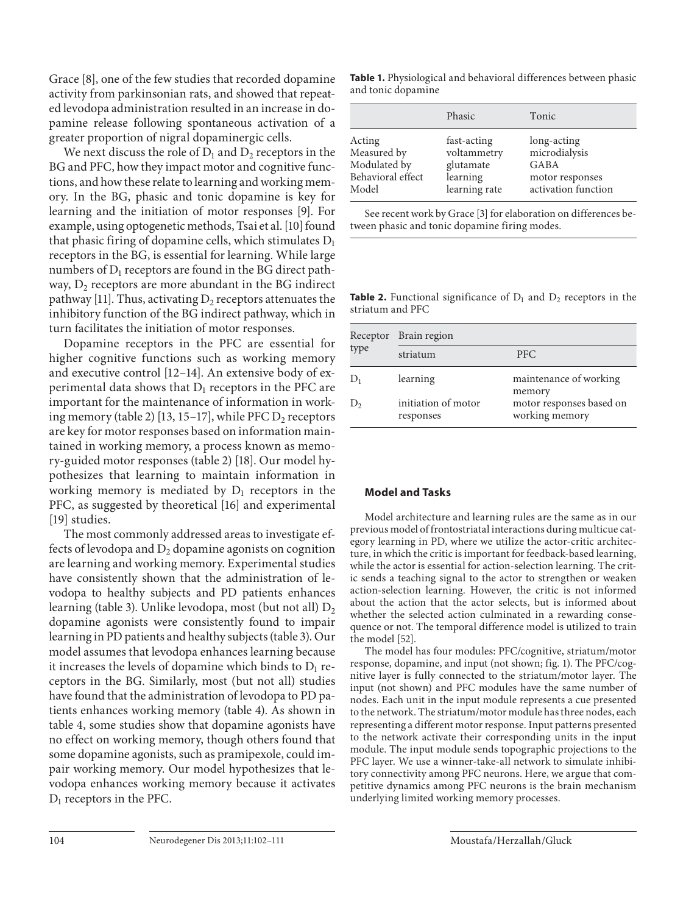Grace [8], one of the few studies that recorded dopamine activity from parkinsonian rats, and showed that repeated levodopa administration resulted in an increase in dopamine release following spontaneous activation of a greater proportion of nigral dopaminergic cells.

We next discuss the role of  $D_1$  and  $D_2$  receptors in the BG and PFC, how they impact motor and cognitive functions, and how these relate to learning and working memory. In the BG, phasic and tonic dopamine is key for learning and the initiation of motor responses [9]. For example, using optogenetic methods, Tsai et al. [10] found that phasic firing of dopamine cells, which stimulates  $D_1$ receptors in the BG, is essential for learning. While large numbers of  $D_1$  receptors are found in the BG direct pathway,  $D_2$  receptors are more abundant in the BG indirect pathway [11]. Thus, activating  $D_2$  receptors attenuates the inhibitory function of the BG indirect pathway, which in turn facilitates the initiation of motor responses.

 Dopamine receptors in the PFC are essential for higher cognitive functions such as working memory and executive control [12-14]. An extensive body of experimental data shows that  $D_1$  receptors in the PFC are important for the maintenance of information in working memory (table 2) [13, 15–17], while PFC  $D_2$  receptors are key for motor responses based on information maintained in working memory, a process known as memory-guided motor responses (table 2) [18]. Our model hypothesizes that learning to maintain information in working memory is mediated by  $D_1$  receptors in the PFC, as suggested by theoretical [16] and experimental [19] studies.

 The most commonly addressed areas to investigate effects of levodopa and  $D_2$  dopamine agonists on cognition are learning and working memory. Experimental studies have consistently shown that the administration of levodopa to healthy subjects and PD patients enhances learning (table 3). Unlike levodopa, most (but not all)  $D_2$ dopamine agonists were consistently found to impair learning in PD patients and healthy subjects (table 3). Our model assumes that levodopa enhances learning because it increases the levels of dopamine which binds to  $D_1$  receptors in the BG. Similarly, most (but not all) studies have found that the administration of levodopa to PD patients enhances working memory (table 4). As shown in table 4, some studies show that dopamine agonists have no effect on working memory, though others found that some dopamine agonists, such as pramipexole, could impair working memory. Our model hypothesizes that levodopa enhances working memory because it activates  $D_1$  receptors in the PFC.

**Table 1.** Physiological and behavioral differences between phasic and tonic dopamine

|                   | Phasic        | Tonic               |
|-------------------|---------------|---------------------|
| Acting            | fast-acting   | long-acting         |
| Measured by       | voltammetry   | microdialysis       |
| Modulated by      | glutamate     | GABA                |
| Behavioral effect | learning      | motor responses     |
| Model             | learning rate | activation function |

See recent work by Grace [3] for elaboration on differences between phasic and tonic dopamine firing modes.

**Table 2.** Functional significance of  $D_1$  and  $D_2$  receptors in the striatum and PFC

| Receptor | Brain region                     |                                            |  |  |
|----------|----------------------------------|--------------------------------------------|--|--|
| type     | striatum                         | <b>PFC</b>                                 |  |  |
| $D_1$    | learning                         | maintenance of working<br>memory           |  |  |
| $D_{2}$  | initiation of motor<br>responses | motor responses based on<br>working memory |  |  |

#### **Model and Tasks**

 Model architecture and learning rules are the same as in our previous model of frontostriatal interactions during multicue category learning in PD, where we utilize the actor-critic architecture, in which the critic is important for feedback-based learning, while the actor is essential for action-selection learning. The critic sends a teaching signal to the actor to strengthen or weaken action-selection learning. However, the critic is not informed about the action that the actor selects, but is informed about whether the selected action culminated in a rewarding consequence or not. The temporal difference model is utilized to train the model [52].

 The model has four modules: PFC/cognitive, striatum/motor response, dopamine, and input (not shown; fig. 1). The PFC/cognitive layer is fully connected to the striatum/motor layer. The input (not shown) and PFC modules have the same number of nodes. Each unit in the input module represents a cue presented to the network. The striatum/motor module has three nodes, each representing a different motor response. Input patterns presented to the network activate their corresponding units in the input module. The input module sends topographic projections to the PFC layer. We use a winner-take-all network to simulate inhibitory connectivity among PFC neurons. Here, we argue that competitive dynamics among PFC neurons is the brain mechanism underlying limited working memory processes.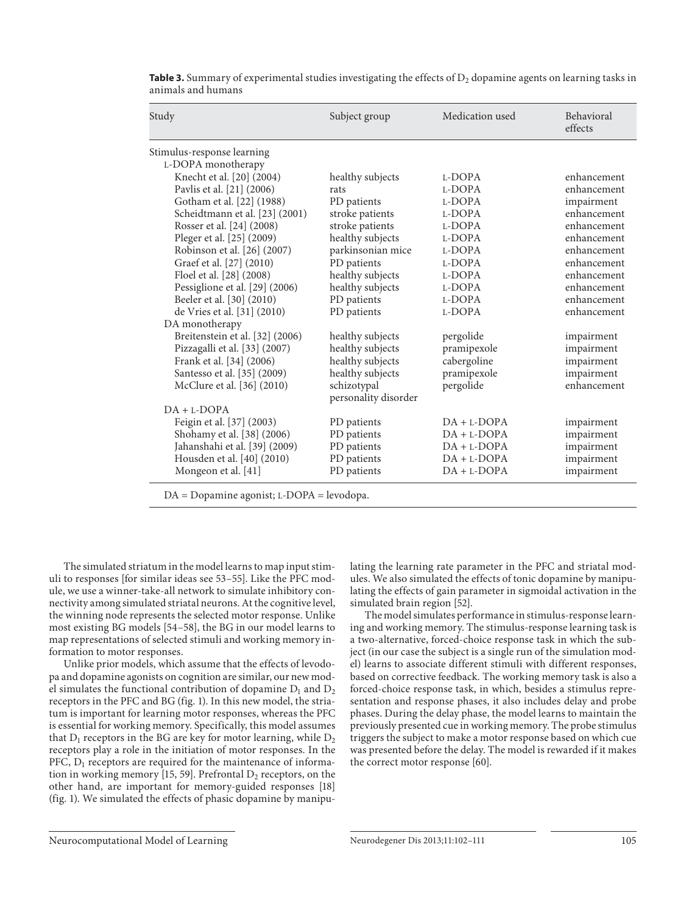| Study                           | Subject group                       | Medication used | Behavioral<br>effects |
|---------------------------------|-------------------------------------|-----------------|-----------------------|
| Stimulus-response learning      |                                     |                 |                       |
| L-DOPA monotherapy              |                                     |                 |                       |
| Knecht et al. [20] (2004)       | healthy subjects                    | L-DOPA          | enhancement           |
| Pavlis et al. [21] (2006)       | rats                                | L-DOPA          | enhancement           |
| Gotham et al. [22] (1988)       | PD patients                         | L-DOPA          | impairment            |
| Scheidtmann et al. [23] (2001)  | stroke patients                     | L-DOPA          | enhancement           |
| Rosser et al. [24] (2008)       | stroke patients                     | L-DOPA          | enhancement           |
| Pleger et al. [25] (2009)       | healthy subjects                    | L-DOPA          | enhancement           |
| Robinson et al. [26] (2007)     | parkinsonian mice                   | L-DOPA          | enhancement           |
| Graef et al. [27] (2010)        | PD patients                         | L-DOPA          | enhancement           |
| Floel et al. [28] (2008)        | healthy subjects                    | L-DOPA          | enhancement           |
| Pessiglione et al. [29] (2006)  | healthy subjects                    | L-DOPA          | enhancement           |
| Beeler et al. [30] (2010)       | PD patients                         | L-DOPA          | enhancement           |
| de Vries et al. [31] (2010)     | PD patients                         | L-DOPA          | enhancement           |
| DA monotherapy                  |                                     |                 |                       |
| Breitenstein et al. [32] (2006) | healthy subjects                    | pergolide       | impairment            |
| Pizzagalli et al. [33] (2007)   | healthy subjects                    | pramipexole     | impairment            |
| Frank et al. [34] (2006)        | healthy subjects                    | cabergoline     | impairment            |
| Santesso et al. [35] (2009)     | healthy subjects                    | pramipexole     | impairment            |
| McClure et al. [36] (2010)      | schizotypal<br>personality disorder | pergolide       | enhancement           |
| $DA + L-DOPA$                   |                                     |                 |                       |
| Feigin et al. [37] (2003)       | PD patients                         | $DA + L-DOPA$   | impairment            |
| Shohamy et al. [38] (2006)      | PD patients                         | $DA + L-DOPA$   | impairment            |
| Jahanshahi et al. [39] (2009)   | PD patients                         | $DA + L-DOPA$   | impairment            |
| Housden et al. [40] (2010)      | PD patients                         | $DA + L-DOPA$   | impairment            |
| Mongeon et al. [41]             | PD patients                         | $DA + L-DOPA$   | impairment            |

**Table 3.** Summary of experimental studies investigating the effects of  $D_2$  dopamine agents on learning tasks in animals and humans

DA = Dopamine agonist; L-DOPA = levodopa.

 The simulated striatum in the model learns to map input stimuli to responses [for similar ideas see 53–55 ]. Like the PFC module, we use a winner-take-all network to simulate inhibitory connectivity among simulated striatal neurons. At the cognitive level, the winning node represents the selected motor response. Unlike most existing BG models [54–58] , the BG in our model learns to map representations of selected stimuli and working memory information to motor responses.

 Unlike prior models, which assume that the effects of levodopa and dopamine agonists on cognition are similar, our new model simulates the functional contribution of dopamine  $D_1$  and  $D_2$ receptors in the PFC and BG (fig. 1). In this new model, the striatum is important for learning motor responses, whereas the PFC is essential for working memory. Specifically, this model assumes that  $D_1$  receptors in the BG are key for motor learning, while  $D_2$ receptors play a role in the initiation of motor responses. In the PFC,  $D_1$  receptors are required for the maintenance of information in working memory [15, 59]. Prefrontal  $D_2$  receptors, on the other hand, are important for memory-guided responses [18] (fig. 1). We simulated the effects of phasic dopamine by manipulating the learning rate parameter in the PFC and striatal modules. We also simulated the effects of tonic dopamine by manipulating the effects of gain parameter in sigmoidal activation in the simulated brain region [52] .

 The model simulates performance in stimulus-response learning and working memory. The stimulus-response learning task is a two-alternative, forced-choice response task in which the subject (in our case the subject is a single run of the simulation model) learns to associate different stimuli with different responses, based on corrective feedback *.* The working memory task is also a forced-choice response task, in which, besides a stimulus representation and response phases, it also includes delay and probe phases. During the delay phase, the model learns to maintain the previously presented cue in working memory. The probe stimulus triggers the subject to make a motor response based on which cue was presented before the delay. The model is rewarded if it makes the correct motor response [60].

Neurocomputational Model of Learning Neurodegener Dis 2013;11:102-111 105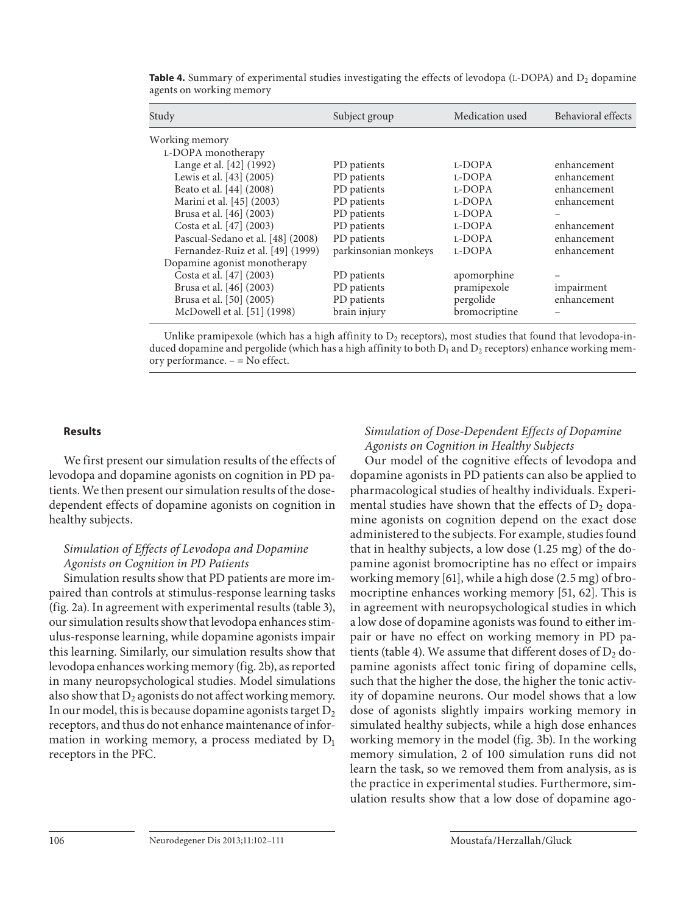| Study                                                                                                                                                                                                                                                                                   | Subject group                                                                                                                 | Medication used                                                              | Behavioral effects                                                                                    |
|-----------------------------------------------------------------------------------------------------------------------------------------------------------------------------------------------------------------------------------------------------------------------------------------|-------------------------------------------------------------------------------------------------------------------------------|------------------------------------------------------------------------------|-------------------------------------------------------------------------------------------------------|
| Working memory<br>L-DOPA monotherapy<br>Lange et al. [42] (1992)<br>Lewis et al. [43] (2005)<br>Beato et al. [44] (2008)<br>Marini et al. [45] (2003)<br>Brusa et al. [46] (2003)<br>Costa et al. [47] (2003)<br>Pascual-Sedano et al. [48] (2008)<br>Fernandez-Ruiz et al. [49] (1999) | PD patients<br>PD patients<br>PD patients<br>PD patients<br>PD patients<br>PD patients<br>PD patients<br>parkinsonian monkeys | L-DOPA<br>L-DOPA<br>L-DOPA<br>L-DOPA<br>L-DOPA<br>L-DOPA<br>L-DOPA<br>L-DOPA | enhancement<br>enhancement<br>enhancement<br>enhancement<br>enhancement<br>enhancement<br>enhancement |
| Dopamine agonist monotherapy<br>Costa et al. [47] (2003)<br>Brusa et al. [46] (2003)<br>Brusa et al. [50] (2005)<br>McDowell et al. [51] (1998)                                                                                                                                         | PD patients<br>PD patients<br>PD patients<br>brain injury                                                                     | apomorphine<br>pramipexole<br>pergolide<br>bromocriptine                     | impairment<br>enhancement                                                                             |

**Table 4.** Summary of experimental studies investigating the effects of levodopa  $(L-DOPA)$  and  $D_2$  dopamine agents on working memory

Unlike pramipexole (which has a high affinity to  $D_2$  receptors), most studies that found that levodopa-induced dopamine and pergolide (which has a high affinity to both  $D_1$  and  $D_2$  receptors) enhance working memory performance. – = No effect.

### **Results**

 We first present our simulation results of the effects of levodopa and dopamine agonists on cognition in PD patients. We then present our simulation results of the dosedependent effects of dopamine agonists on cognition in healthy subjects.

## *Simulation of Effects of Levodopa and Dopamine Agonists on Cognition in PD Patients*

 Simulation results show that PD patients are more impaired than controls at stimulus-response learning tasks (fig. 2a). In agreement with experimental results (table 3), our simulation results show that levodopa enhances stimulus-response learning, while dopamine agonists impair this learning. Similarly, our simulation results show that levodopa enhances working memory (fig. 2b), as reported in many neuropsychological studies. Model simulations also show that  $D_2$  agonists do not affect working memory. In our model, this is because dopamine agonists target  $D_2$ receptors, and thus do not enhance maintenance of information in working memory, a process mediated by  $D_1$ receptors in the PFC.

### *Simulation of Dose-Dependent Effects of Dopamine Agonists on Cognition in Healthy Subjects*

 Our model of the cognitive effects of levodopa and dopamine agonists in PD patients can also be applied to pharmacological studies of healthy individuals. Experimental studies have shown that the effects of  $D_2$  dopamine agonists on cognition depend on the exact dose administered to the subjects. For example, studies found that in healthy subjects, a low dose (1.25 mg) of the dopamine agonist bromocriptine has no effect or impairs working memory [61], while a high dose (2.5 mg) of bromocriptine enhances working memory [51, 62]. This is in agreement with neuropsychological studies in which a low dose of dopamine agonists was found to either impair or have no effect on working memory in PD patients (table 4). We assume that different doses of  $D_2$  dopamine agonists affect tonic firing of dopamine cells, such that the higher the dose, the higher the tonic activity of dopamine neurons. Our model shows that a low dose of agonists slightly impairs working memory in simulated healthy subjects, while a high dose enhances working memory in the model (fig. 3b). In the working memory simulation, 2 of 100 simulation runs did not learn the task, so we removed them from analysis, as is the practice in experimental studies. Furthermore, simulation results show that a low dose of dopamine ago-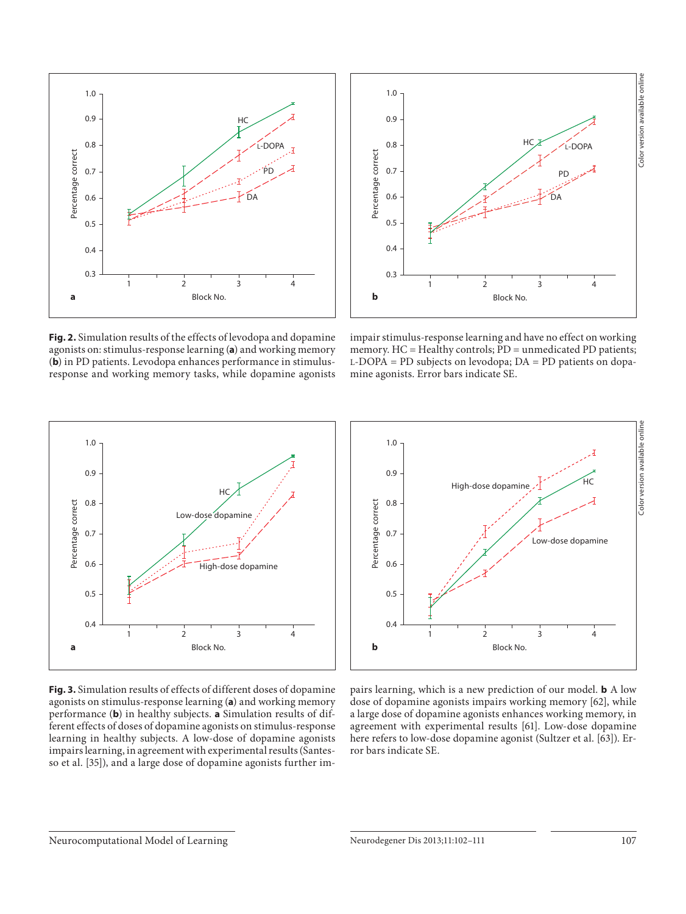



**Fig. 2.** Simulation results of the effects of levodopa and dopamine agonists on: stimulus-response learning (a) and working memory (b) in PD patients. Levodopa enhances performance in stimulusresponse and working memory tasks, while dopamine agonists

impair stimulus-response learning and have no effect on working memory. HC = Healthy controls; PD = unmedicated PD patients; L -DOPA = PD subjects on levodopa; DA = PD patients on dopamine agonists. Error bars indicate SE.



**Fig. 3.** Simulation results of effects of different doses of dopamine agonists on stimulus-response learning (a) and working memory performance (**b**) in healthy subjects. **a** Simulation results of different effects of doses of dopamine agonists on stimulus-response learning in healthy subjects. A low-dose of dopamine agonists impairs learning, in agreement with experimental results (Santesso et al. [35]), and a large dose of dopamine agonists further im-



pairs learning, which is a new prediction of our model. **b** A low dose of dopamine agonists impairs working memory [62], while a large dose of dopamine agonists enhances working memory, in agreement with experimental results [61]. Low-dose dopamine here refers to low-dose dopamine agonist (Sultzer et al. [63]). Error bars indicate SE.

#### Neurocomputational Model of Learning Neurodegener Dis 2013;11:102-111 107 107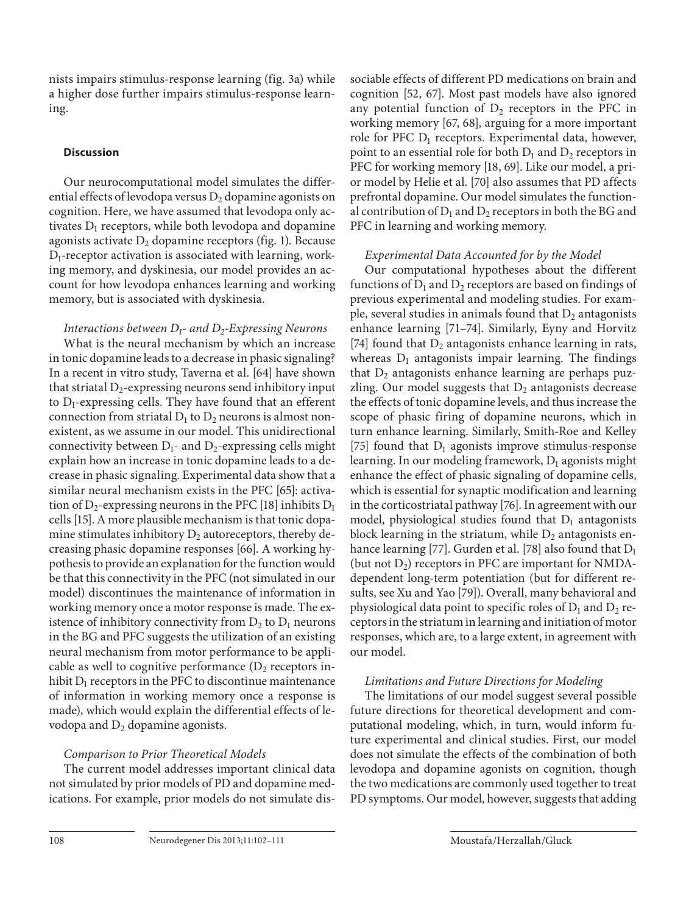nists impairs stimulus-response learning (fig. 3a) while a higher dose further impairs stimulus-response learning.

## **Discussion**

 Our neurocomputational model simulates the differential effects of levodopa versus  $D_2$  dopamine agonists on cognition. Here, we have assumed that levodopa only activates  $D_1$  receptors, while both levodopa and dopamine agonists activate  $D_2$  dopamine receptors (fig. 1). Because  $D_1$ -receptor activation is associated with learning, working memory, and dyskinesia, our model provides an account for how levodopa enhances learning and working memory, but is associated with dyskinesia.

## *Interactions between D<sub>1</sub>- and D<sub>2</sub>-Expressing Neurons*

 What is the neural mechanism by which an increase in tonic dopamine leads to a decrease in phasic signaling? In a recent in vitro study, Taverna et al. [64] have shown that striatal  $D_2$ -expressing neurons send inhibitory input to  $D_1$ -expressing cells. They have found that an efferent connection from striatal  $D_1$  to  $D_2$  neurons is almost nonexistent, as we assume in our model. This unidirectional connectivity between  $D_1$ - and  $D_2$ -expressing cells might explain how an increase in tonic dopamine leads to a decrease in phasic signaling. Experimental data show that a similar neural mechanism exists in the PFC [65]: activation of  $D_2$ -expressing neurons in the PFC [18] inhibits  $D_1$ cells [15] . A more plausible mechanism is that tonic dopamine stimulates inhibitory  $D_2$  autoreceptors, thereby decreasing phasic dopamine responses [66]. A working hypothesis to provide an explanation for the function would be that this connectivity in the PFC (not simulated in our model) discontinues the maintenance of information in working memory once a motor response is made. The existence of inhibitory connectivity from  $D_2$  to  $D_1$  neurons in the BG and PFC suggests the utilization of an existing neural mechanism from motor performance to be applicable as well to cognitive performance  $(D_2)$  receptors inhibit  $D_1$  receptors in the PFC to discontinue maintenance of information in working memory once a response is made), which would explain the differential effects of levodopa and  $D_2$  dopamine agonists.

## *Comparison to Prior Theoretical Models*

 The current model addresses important clinical data not simulated by prior models of PD and dopamine medications. For example, prior models do not simulate dissociable effects of different PD medications on brain and cognition [52, 67]. Most past models have also ignored any potential function of  $D_2$  receptors in the PFC in working memory [67, 68], arguing for a more important role for PFC  $D_1$  receptors. Experimental data, however, point to an essential role for both  $D_1$  and  $D_2$  receptors in PFC for working memory [18, 69]. Like our model, a prior model by Helie et al. [70] also assumes that PD affects prefrontal dopamine. Our model simulates the functional contribution of  $D_1$  and  $D_2$  receptors in both the BG and PFC in learning and working memory.

# *Experimental Data Accounted for by the Model*

 Our computational hypotheses about the different functions of  $D_1$  and  $D_2$  receptors are based on findings of previous experimental and modeling studies. For example, several studies in animals found that  $D_2$  antagonists enhance learning [71-74]. Similarly, Eyny and Horvitz [74] found that  $D_2$  antagonists enhance learning in rats, whereas  $D_1$  antagonists impair learning. The findings that  $D_2$  antagonists enhance learning are perhaps puzzling. Our model suggests that  $D_2$  antagonists decrease the effects of tonic dopamine levels, and thus increase the scope of phasic firing of dopamine neurons, which in turn enhance learning. Similarly, Smith-Roe and Kelley [75] found that  $D_1$  agonists improve stimulus-response learning. In our modeling framework,  $D_1$  agonists might enhance the effect of phasic signaling of dopamine cells, which is essential for synaptic modification and learning in the corticostriatal pathway [76] . In agreement with our model, physiological studies found that  $D_1$  antagonists block learning in the striatum, while  $D_2$  antagonists enhance learning [77]. Gurden et al. [78] also found that  $D_1$ (but not  $D_2$ ) receptors in PFC are important for NMDAdependent long-term potentiation (but for different results, see Xu and Yao [79] ). Overall, many behavioral and physiological data point to specific roles of  $D_1$  and  $D_2$  receptors in the striatum in learning and initiation of motor responses, which are, to a large extent, in agreement with our model.

# *Limitations and Future Directions for Modeling*

 The limitations of our model suggest several possible future directions for theoretical development and computational modeling, which, in turn, would inform future experimental and clinical studies. First, our model does not simulate the effects of the combination of both levodopa and dopamine agonists on cognition, though the two medications are commonly used together to treat PD symptoms. Our model, however, suggests that adding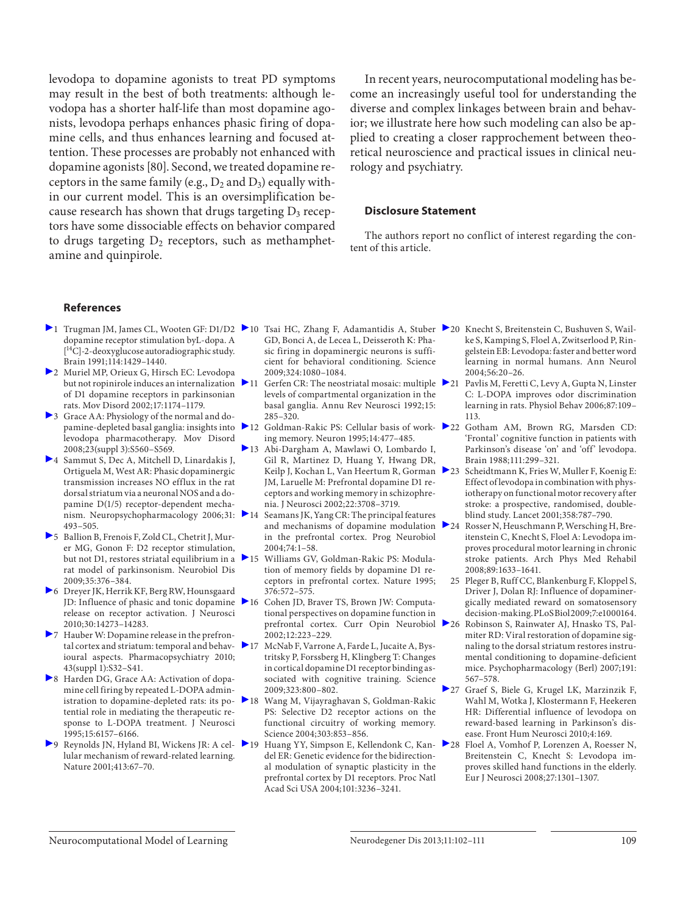levodopa to dopamine agonists to treat PD symptoms may result in the best of both treatments: although levodopa has a shorter half-life than most dopamine agonists, levodopa perhaps enhances phasic firing of dopamine cells, and thus enhances learning and focused attention. These processes are probably not enhanced with dopamine agonists [80]. Second, we treated dopamine receptors in the same family (e.g.,  $D_2$  and  $D_3$ ) equally within our current model. This is an oversimplification because research has shown that drugs targeting  $D_3$  receptors have some dissociable effects on behavior compared to drugs targeting  $D_2$  receptors, such as methamphetamine and quinpirole.

 In recent years, neurocomputational modeling has become an increasingly useful tool for understanding the diverse and complex linkages between brain and behavior; we illustrate here how such modeling can also be applied to creating a closer rapprochement between theoretical neuroscience and practical issues in clinical neurology and psychiatry.

#### **Disclosure Statement**

 The authors report no conflict of interest regarding the content of this article.

#### **References**

- 1 Trugman JM, James CL, Wooten GF: D1/D2 10 Tsai HC, Zhang F, Adamantidis A, Stuber 20 Knecht S, Breitenstein C, Bushuven S, Waildopamine receptor stimulation byL-dopa. A  $[$ <sup>14</sup>C]-2-deoxyglucose autoradiographic study. Brain 1991;114:1429–1440.
- 2 Muriel MP, Orieux G, Hirsch EC: Levodopa but not ropinirole induces an internalization of D1 dopamine receptors in parkinsonian rats. Mov Disord 2002;17:1174–1179.
- 3 Grace AA: Physiology of the normal and dopamine-depleted basal ganglia: insights into 212 levodopa pharmacotherapy. Mov Disord 2008;23(suppl 3):S560–S569.
- 4 Sammut S, Dec A, Mitchell D, Linardakis J, Ortiguela M, West AR: Phasic dopaminergic transmission increases NO efflux in the rat dorsal striatum via a neuronal NOS and a dopamine D(1/5) receptor-dependent mechanism. Neuropsychopharmacology 2006;31: 14 493–505.
- 5 Ballion B, Frenois F, Zold CL, Chetrit J, Murer MG, Gonon F: D2 receptor stimulation, but not D1, restores striatal equilibrium in a  $\geq 15$ rat model of parkinsonism. Neurobiol Dis 2009;35:376–384.
- 6 Dreyer JK, Herrik KF, Berg RW, Hounsgaard JD: Influence of phasic and tonic dopamine release on receptor activation. J Neurosci 2010;30:14273–14283.
- 7 Hauber W: Dopamine release in the prefrontal cortex and striatum: temporal and behavioural aspects. Pharmacopsychiatry 2010; 43(suppl 1):S32–S41.
- 8 Harden DG, Grace AA: Activation of dopamine cell firing by repeated L-DOPA administration to dopamine-depleted rats: its potential role in mediating the therapeutic response to L-DOPA treatment. J Neurosci 1995;15:6157–6166.
- ▶ 9 Reynolds JN, Hyland BI, Wickens JR: A cel- ▶ 19 lular mechanism of reward-related learning. Nature 2001;413:67–70.
- GD, Bonci A, de Lecea L, Deisseroth K: Phasic firing in dopaminergic neurons is sufficient for behavioral conditioning. Science 2009;324:1080–1084.
- ▶ 11 Gerfen CR: The neostriatal mosaic: multiple ▶ 21 levels of compartmental organization in the basal ganglia. Annu Rev Neurosci 1992;15: 285–320.
- Goldman-Rakic PS: Cellular basis of work- 22 ing memory. Neuron 1995;14:477–485.
- 13 Abi-Dargham A, Mawlawi O, Lombardo I, Gil R, Martinez D, Huang Y, Hwang DR, Keilp J, Kochan L, Van Heertum R, Gorman JM, Laruelle M: Prefrontal dopamine D1 receptors and working memory in schizophrenia. J Neurosci 2002;22:3708–3719.
- Seamans JK, Yang CR: The principal features and mechanisms of dopamine modulation  $\geq 24$ in the prefrontal cortex. Prog Neurobiol 2004;74:1–58.
- 15 Williams GV, Goldman-Rakic PS: Modulation of memory fields by dopamine D1 receptors in prefrontal cortex. Nature 1995; 376:572–575.
- 16 Cohen JD, Braver TS, Brown JW: Computational perspectives on dopamine function in prefrontal cortex. Curr Opin Neurobiol 26 2002;12:223–229.
- 17 McNab F, Varrone A, Farde L, Jucaite A, Bystritsky P, Forssberg H, Klingberg T: Changes in cortical dopamine D1 receptor binding associated with cognitive training. Science 2009;323:800–802.
- 18 Wang M, Vijayraghavan S, Goldman-Rakic PS: Selective D2 receptor actions on the functional circuitry of working memory. Science 2004;303:853–856.
- Huang YY, Simpson E, Kellendonk C, Kan- ▶ 28 del ER: Genetic evidence for the bidirectional modulation of synaptic plasticity in the prefrontal cortex by D1 receptors. Proc Natl Acad Sci USA 2004;101:3236–3241.
- ke S, Kamping S, Floel A, Zwitserlood P, Ringelstein EB: Levodopa: faster and better word learning in normal humans. Ann Neurol 2004;56:20–26.
- Pavlis M, Feretti C, Levy A, Gupta N, Linster C: L-DOPA improves odor discrimination learning in rats. Physiol Behav 2006;87:109– 113.
- Gotham AM, Brown RG, Marsden CD: 'Frontal' cognitive function in patients with Parkinson's disease 'on' and 'off' levodopa. Brain 1988;111:299–321.
- Scheidtmann K, Fries W, Muller F, Koenig E: Effect of levodopa in combination with physiotherapy on functional motor recovery after stroke: a prospective, randomised, doubleblind study. Lancet 2001;358:787–790.
- Rosser N, Heuschmann P, Wersching H, Breitenstein C, Knecht S, Floel A: Levodopa improves procedural motor learning in chronic stroke patients. Arch Phys Med Rehabil 2008;89:1633–1641.
- 25 Pleger B, Ruff CC, Blankenburg F, Kloppel S, Driver J, Dolan RJ: Influence of dopaminergically mediated reward on somatosensory decision-making. PLoS Biol 2009;7:e1000164.
- 26 Robinson S, Rainwater AJ, Hnasko TS, Palmiter RD: Viral restoration of dopamine signaling to the dorsal striatum restores instrumental conditioning to dopamine-deficient mice. Psychopharmacology (Berl) 2007;191: 567–578.
- 27 Graef S, Biele G, Krugel LK, Marzinzik F, Wahl M, Wotka J, Klostermann F, Heekeren HR: Differential influence of levodopa on reward-based learning in Parkinson's disease. Front Hum Neurosci 2010;4:169.
- Floel A, Vomhof P, Lorenzen A, Roesser N, Breitenstein C, Knecht S: Levodopa improves skilled hand functions in the elderly. Eur J Neurosci 2008;27:1301–1307.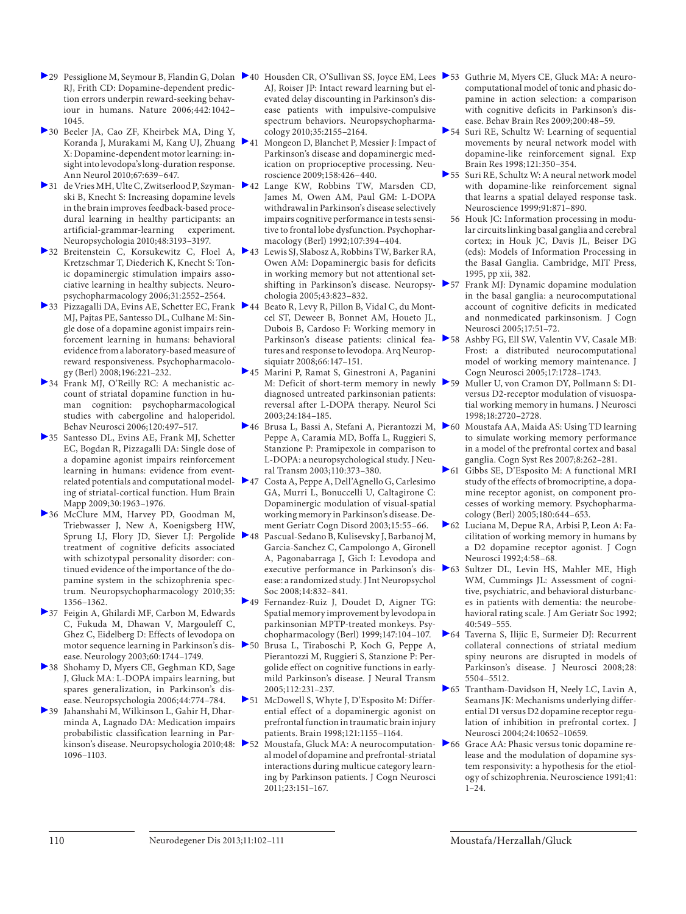- RJ, Frith CD: Dopamine-dependent prediction errors underpin reward-seeking behaviour in humans. Nature 2006; 442: 1042– 1045.
- 30 Beeler JA, Cao ZF, Kheirbek MA, Ding Y, Koranda J, Murakami M, Kang UJ, Zhuang X: Dopamine-dependent motor learning: insight into levodopa's long-duration response. Ann Neurol 2010;67:639–647.
- ski B, Knecht S: Increasing dopamine levels in the brain improves feedback-based procedural learning in healthy participants: an artificial-grammar-learning experiment. Neuropsychologia 2010;48:3193–3197.
- 32 Breitenstein C, Korsukewitz C, Floel A, Kretzschmar T, Diederich K, Knecht S: Tonic dopaminergic stimulation impairs associative learning in healthy subjects. Neuropsychopharmacology 2006;31:2552–2564.
- ▶ 33 Pizzagalli DA, Evins AE, Schetter EC, Frank ▶ 44 MJ, Pajtas PE, Santesso DL, Culhane M: Single dose of a dopamine agonist impairs reinforcement learning in humans: behavioral evidence from a laboratory-based measure of reward responsiveness. Psychopharmacology (Berl) 2008;196:221–232.
- 34 Frank MJ, O'Reilly RC: A mechanistic account of striatal dopamine function in human cognition: psychopharmacological studies with cabergoline and haloperidol. Behav Neurosci 2006;120:497–517.
- 35 Santesso DL, Evins AE, Frank MJ, Schetter EC, Bogdan R, Pizzagalli DA: Single dose of a dopamine agonist impairs reinforcement learning in humans: evidence from eventrelated potentials and computational modeling of striatal-cortical function. Hum Brain Mapp 2009;30:1963–1976.
- 36 McClure MM, Harvey PD, Goodman M, Triebwasser J, New A, Koenigsberg HW, Sprung LJ, Flory JD, Siever LJ: Pergolide 248 treatment of cognitive deficits associated with schizotypal personality disorder: continued evidence of the importance of the dopamine system in the schizophrenia spectrum. Neuropsychopharmacology 2010;35: 1356–1362.
- 37 Feigin A, Ghilardi MF, Carbon M, Edwards C, Fukuda M, Dhawan V, Margouleff C, Ghez C, Eidelberg D: Effects of levodopa on motor sequence learning in Parkinson's disease. Neurology 2003;60:1744–1749.
- 38 Shohamy D, Myers CE, Geghman KD, Sage J, Gluck MA: L-DOPA impairs learning, but spares generalization, in Parkinson's disease. Neuropsychologia 2006;44:774–784.
- 39 Jahanshahi M, Wilkinson L, Gahir H, Dharminda A, Lagnado DA: Medication impairs probabilistic classification learning in Parkinson's disease. Neuropsychologia 2010;48: > 52 1096–1103.
- 29 Pessiglione M, Seymour B, Flandin G, Dolan 40 Housden CR, O'Sullivan SS, Joyce EM, Lees 53 Guthrie M, Myers CE, Gluck MA: A neuro-AJ, Roiser JP: Intact reward learning but elevated delay discounting in Parkinson's disease patients with impulsive-compulsive spectrum behaviors. Neuropsychopharmacology 2010;35:2155–2164.
	- Mongeon D, Blanchet P, Messier J: Impact of Parkinson's disease and dopaminergic medication on proprioceptive processing. Neuroscience 2009;158:426–440.
- 31 de Vries MH, Ulte C, Zwitserlood P, Szyman- 42 Lange KW, Robbins TW, Marsden CD, James M, Owen AM, Paul GM: L-DOPA withdrawal in Parkinson's disease selectively impairs cognitive performance in tests sensitive to frontal lobe dysfunction. Psychopharmacology (Berl) 1992;107:394–404.
	- 43 Lewis SJ, Slabosz A, Robbins TW, Barker RA, Owen AM: Dopaminergic basis for deficits in working memory but not attentional setshifting in Parkinson's disease. Neuropsy-  $\triangleright$  57 chologia 2005;43:823–832.
	- Beato R, Levy R, Pillon B, Vidal C, du Montcel ST, Deweer B, Bonnet AM, Houeto JL, Dubois B, Cardoso F: Working memory in Parkinson's disease patients: clinical features and response to levodopa. Arq Neuropsiquiatr 2008;66:147–151.
	- 45 Marini P, Ramat S, Ginestroni A, Paganini M: Deficit of short-term memory in newly diagnosed untreated parkinsonian patients: reversal after L-DOPA therapy. Neurol Sci 2003;24:184–185.
	- ▶ 46 Brusa L, Bassi A, Stefani A, Pierantozzi M, ▶ 60 Peppe A, Caramia MD, Boffa L, Ruggieri S, Stanzione P: Pramipexole in comparison to L-DOPA: a neuropsychological study. J Neural Transm 2003;110:373–380.
	- 47 Costa A, Peppe A, Dell'Agnello G, Carlesimo GA, Murri L, Bonuccelli U, Caltagirone C: Dopaminergic modulation of visual-spatial working memory in Parkinson's disease. Dement Geriatr Cogn Disord 2003;15:55–66.
	- 48 Pascual-Sedano B, Kulisevsky J, Barbanoj M, Garcia-Sanchez C, Campolongo A, Gironell A, Pagonabarraga J, Gich I: Levodopa and executive performance in Parkinson's disease: a randomized study. J Int Neuropsychol Soc 2008;14:832–841.
	- 49 Fernandez-Ruiz J, Doudet D, Aigner TG: Spatial memory improvement by levodopa in parkinsonian MPTP-treated monkeys. Psychopharmacology (Berl) 1999;147:104–107.
	- 50 Brusa L, Tiraboschi P, Koch G, Peppe A, Pierantozzi M, Ruggieri S, Stanzione P: Pergolide effect on cognitive functions in earlymild Parkinson's disease. J Neural Transm 2005;112:231–237.
	- 51 McDowell S, Whyte J, D'Esposito M: Differential effect of a dopaminergic agonist on prefrontal function in traumatic brain injury patients. Brain 1998;121:1155–1164.
	- Moustafa, Gluck MA: A neurocomputation- $\geq 66$ al model of dopamine and prefrontal-striatal interactions during multicue category learning by Parkinson patients. J Cogn Neurosci 2011;23:151–167.
- computational model of tonic and phasic dopamine in action selection: a comparison with cognitive deficits in Parkinson's disease. Behav Brain Res 2009;200:48–59.
- 54 Suri RE, Schultz W: Learning of sequential movements by neural network model with dopamine-like reinforcement signal. Exp Brain Res 1998;121:350–354.
- 55 Suri RE, Schultz W: A neural network model with dopamine-like reinforcement signal that learns a spatial delayed response task. Neuroscience 1999;91:871–890.
- 56 Houk JC: Information processing in modular circuits linking basal ganglia and cerebral cortex; in Houk JC, Davis JL, Beiser DG (eds): Models of Information Processing in the Basal Ganglia. Cambridge, MIT Press, 1995, pp xii, 382.
- 57 Frank MJ: Dynamic dopamine modulation in the basal ganglia: a neurocomputational account of cognitive deficits in medicated and nonmedicated parkinsonism. J Cogn Neurosci 2005;17:51–72.
- 58 Ashby FG, Ell SW, Valentin VV, Casale MB: Frost: a distributed neurocomputational model of working memory maintenance. J Cogn Neurosci 2005;17:1728–1743.
- 59 Muller U, von Cramon DY, Pollmann S: D1 versus D2-receptor modulation of visuospatial working memory in humans. J Neurosci 1998;18:2720–2728.
- 60 Moustafa AA, Maida AS: Using TD learning to simulate working memory performance in a model of the prefrontal cortex and basal ganglia. Cogn Syst Res 2007;8:262–281.
- 61 Gibbs SE, D'Esposito M: A functional MRI study of the effects of bromocriptine, a dopamine receptor agonist, on component processes of working memory. Psychopharmacology (Berl) 2005;180:644–653.
- 62 Luciana M, Depue RA, Arbisi P, Leon A: Facilitation of working memory in humans by a D2 dopamine receptor agonist. J Cogn Neurosci 1992;4:58–68.
- 63 Sultzer DL, Levin HS, Mahler ME, High WM, Cummings JL: Assessment of cognitive, psychiatric, and behavioral disturbances in patients with dementia: the neurobehavioral rating scale. J Am Geriatr Soc 1992; 40:549–555.
- 64 Taverna S, Ilijic E, Surmeier DJ: Recurrent collateral connections of striatal medium spiny neurons are disrupted in models of Parkinson's disease. J Neurosci 2008;28: 5504–5512.
- 65 Trantham-Davidson H, Neely LC, Lavin A, Seamans JK: Mechanisms underlying differential D1 versus D2 dopamine receptor regulation of inhibition in prefrontal cortex. J Neurosci 2004;24:10652–10659.
	- Grace AA: Phasic versus tonic dopamine release and the modulation of dopamine system responsivity: a hypothesis for the etiology of schizophrenia. Neuroscience 1991;41: 1–24.